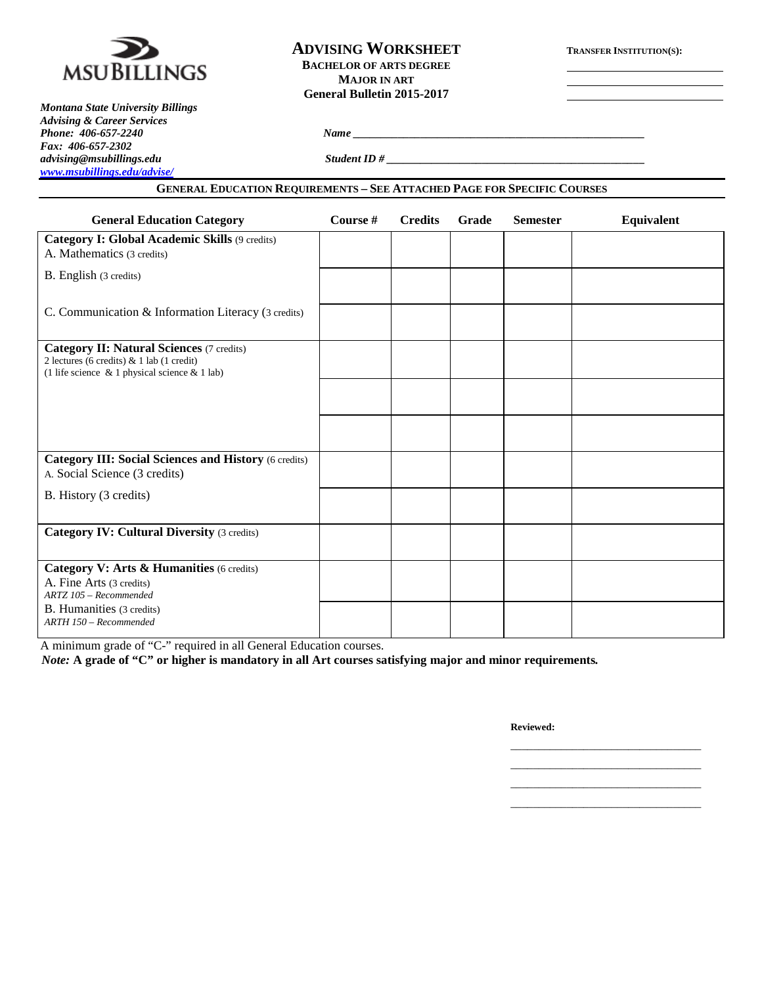

## **ADVISING WORKSHEET TRANSFER INSTITUTION(S): BACHELOR OF ARTS DEGREE MAJOR IN ART General Bulletin 2015-2017**

*Montana State University Billings Advising & Career Services Fax: 406-657-2302 [www.msubillings.edu/advise/](http://www.msubillings.edu/advise/)*

*Phone: 406-657-2240 Name \_\_\_\_\_\_\_\_\_\_\_\_\_\_\_\_\_\_\_\_\_\_\_\_\_\_\_\_\_\_\_\_\_\_\_\_\_\_\_\_\_\_\_\_\_\_\_\_\_\_\_\_*

*advising@msubillings.edu Student ID # \_\_\_\_\_\_\_\_\_\_\_\_\_\_\_\_\_\_\_\_\_\_\_\_\_\_\_\_\_\_\_\_\_\_\_\_\_\_\_\_\_\_\_\_\_\_*

### **GENERAL EDUCATION REQUIREMENTS – SEE ATTACHED PAGE FOR SPECIFIC COURSES**

| <b>General Education Category</b>                                                                                                                      | Course # | <b>Credits</b> | Grade | <b>Semester</b> | Equivalent |
|--------------------------------------------------------------------------------------------------------------------------------------------------------|----------|----------------|-------|-----------------|------------|
| <b>Category I: Global Academic Skills (9 credits)</b><br>A. Mathematics (3 credits)                                                                    |          |                |       |                 |            |
| B. English (3 credits)                                                                                                                                 |          |                |       |                 |            |
| C. Communication & Information Literacy (3 credits)                                                                                                    |          |                |       |                 |            |
| <b>Category II: Natural Sciences (7 credits)</b><br>2 lectures (6 credits) $& 1$ lab (1 credit)<br>(1 life science $\&$ 1 physical science $\&$ 1 lab) |          |                |       |                 |            |
|                                                                                                                                                        |          |                |       |                 |            |
|                                                                                                                                                        |          |                |       |                 |            |
| <b>Category III: Social Sciences and History (6 credits)</b><br>A. Social Science (3 credits)                                                          |          |                |       |                 |            |
| B. History (3 credits)                                                                                                                                 |          |                |       |                 |            |
| <b>Category IV: Cultural Diversity (3 credits)</b>                                                                                                     |          |                |       |                 |            |
| Category V: Arts & Humanities (6 credits)<br>A. Fine Arts (3 credits)<br>ARTZ 105 - Recommended                                                        |          |                |       |                 |            |
| B. Humanities (3 credits)<br>ARTH 150 - Recommended                                                                                                    |          |                |       |                 |            |

A minimum grade of "C-" required in all General Education courses.

*Note:* **A grade of "C" or higher is mandatory in all Art courses satisfying major and minor requirements***.*

**Reviewed:**

\_\_\_\_\_\_\_\_\_\_\_\_\_\_\_\_\_\_\_\_\_\_\_\_\_\_\_\_\_\_\_\_\_\_ \_\_\_\_\_\_\_\_\_\_\_\_\_\_\_\_\_\_\_\_\_\_\_\_\_\_\_\_\_\_\_\_\_\_

\_\_\_\_\_\_\_\_\_\_\_\_\_\_\_\_\_\_\_\_\_\_\_\_\_\_\_\_\_\_\_\_\_\_ \_\_\_\_\_\_\_\_\_\_\_\_\_\_\_\_\_\_\_\_\_\_\_\_\_\_\_\_\_\_\_\_\_\_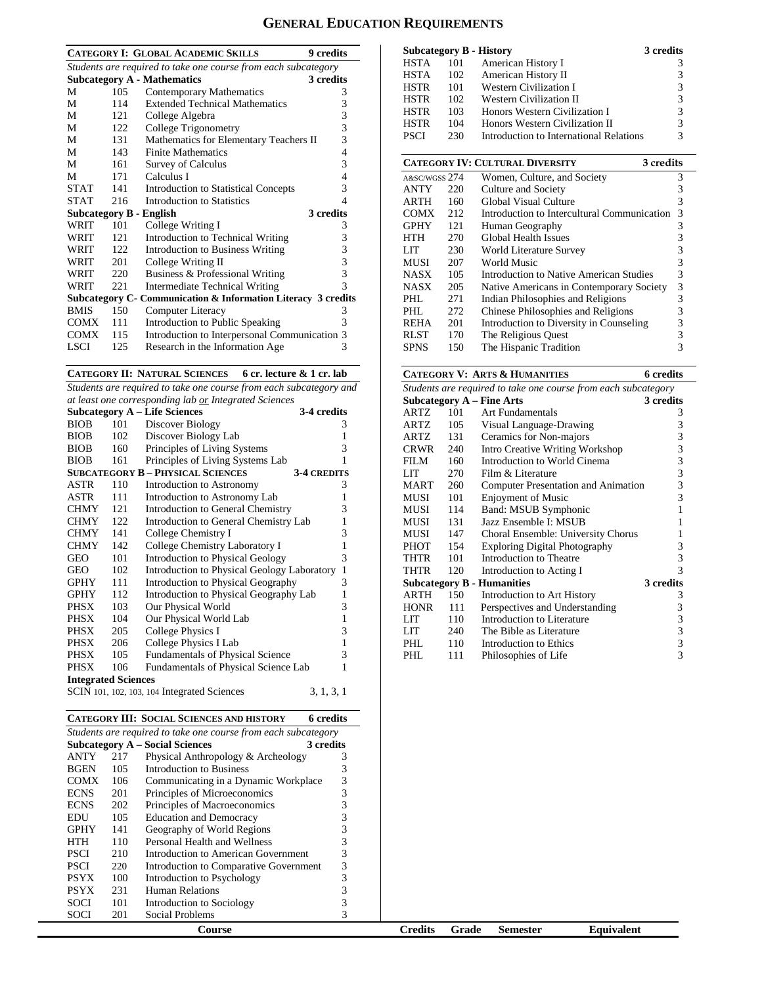# **GENERAL EDUCATION REQUIREMENTS**

| <b>CATEGORY I: GLOBAL ACADEMIC SKILLS</b><br>9 credits         |     |                                                               |   |  |  |
|----------------------------------------------------------------|-----|---------------------------------------------------------------|---|--|--|
| Students are required to take one course from each subcategory |     |                                                               |   |  |  |
|                                                                |     | 3 credits<br><b>Subcategory A - Mathematics</b>               |   |  |  |
| М                                                              | 105 | <b>Contemporary Mathematics</b>                               | 3 |  |  |
| М                                                              | 114 | <b>Extended Technical Mathematics</b>                         | 3 |  |  |
| М                                                              | 121 | College Algebra                                               | 3 |  |  |
| М                                                              | 122 | College Trigonometry                                          | 3 |  |  |
| М                                                              | 131 | Mathematics for Elementary Teachers II                        | 3 |  |  |
| М                                                              | 143 | <b>Finite Mathematics</b>                                     | 4 |  |  |
| М                                                              | 161 | Survey of Calculus                                            | 3 |  |  |
| M                                                              | 171 | Calculus I                                                    | 4 |  |  |
| <b>STAT</b>                                                    | 141 | <b>Introduction to Statistical Concepts</b>                   | 3 |  |  |
| <b>STAT</b>                                                    | 216 | Introduction to Statistics                                    | 4 |  |  |
| Subcategory B - English                                        |     | 3 credits                                                     |   |  |  |
| WRIT                                                           | 101 | College Writing I                                             | 3 |  |  |
| WRIT                                                           | 121 | Introduction to Technical Writing                             | 3 |  |  |
| WRIT                                                           | 122 | Introduction to Business Writing                              | 3 |  |  |
| WRIT                                                           | 201 | College Writing II                                            | 3 |  |  |
| WRIT                                                           | 220 | Business & Professional Writing                               | 3 |  |  |
| WRIT                                                           | 221 | <b>Intermediate Technical Writing</b>                         | 3 |  |  |
|                                                                |     | Subcategory C- Communication & Information Literacy 3 credits |   |  |  |
| <b>BMIS</b>                                                    | 150 | Computer Literacy                                             | 3 |  |  |
| COMX                                                           | 111 | Introduction to Public Speaking                               | 3 |  |  |
| <b>COMX</b>                                                    | 115 | Introduction to Interpersonal Communication 3                 |   |  |  |
| LSCI                                                           | 125 | Research in the Information Age                               | 3 |  |  |

#### **CATEGORY II: NATURAL SCIENCES 6 cr. lecture & 1 cr. lab**

*Students are required to take one course from each subcategory and at least one corresponding lab or Integrated Sciences*

| <b>Subcategory A – Life Sciences</b><br>3-4 credits |     |                                             |                    |  |  |
|-----------------------------------------------------|-----|---------------------------------------------|--------------------|--|--|
| <b>BIOB</b>                                         | 101 | Discover Biology                            | 3                  |  |  |
| <b>BIOB</b>                                         | 102 | Discover Biology Lab                        | 1                  |  |  |
| <b>BIOB</b>                                         | 160 | Principles of Living Systems                | 3                  |  |  |
| <b>BIOB</b>                                         | 161 | Principles of Living Systems Lab            | 1                  |  |  |
|                                                     |     | <b>SUBCATEGORY B - PHYSICAL SCIENCES</b>    | <b>3-4 CREDITS</b> |  |  |
| ASTR                                                | 110 | Introduction to Astronomy                   | 3                  |  |  |
| ASTR                                                | 111 | Introduction to Astronomy Lab               | 1                  |  |  |
| CHMY                                                | 121 | Introduction to General Chemistry           | 3                  |  |  |
| <b>CHMY</b>                                         | 122 | Introduction to General Chemistry Lab       | 1                  |  |  |
| <b>CHMY</b>                                         | 141 | College Chemistry I                         | 3                  |  |  |
| <b>CHMY</b>                                         | 142 | College Chemistry Laboratory I              | $\mathbf{1}$       |  |  |
| <b>GEO</b>                                          | 101 | Introduction to Physical Geology            | 3                  |  |  |
| <b>GEO</b>                                          | 102 | Introduction to Physical Geology Laboratory | $\mathbf{1}$       |  |  |
| GPHY                                                | 111 | Introduction to Physical Geography          | 3                  |  |  |
| <b>GPHY</b>                                         | 112 | Introduction to Physical Geography Lab      | 1                  |  |  |
| PHSX                                                | 103 | Our Physical World                          | 3                  |  |  |
| PHSX                                                | 104 | Our Physical World Lab                      | 1                  |  |  |
| PHSX                                                | 205 | College Physics I                           | 3                  |  |  |
| PHSX                                                | 206 | College Physics I Lab                       | 1                  |  |  |
| PHSX                                                | 105 | <b>Fundamentals of Physical Science</b>     | 3                  |  |  |
| PHSX                                                | 106 | Fundamentals of Physical Science Lab        | 1                  |  |  |
| <b>Integrated Sciences</b>                          |     |                                             |                    |  |  |
|                                                     |     | SCIN 101, 102, 103, 104 Integrated Sciences | 3, 1, 3, 1         |  |  |

|                                                                |     | <b>CATEGORY III: SOCIAL SCIENCES AND HISTORY</b> | 6 credits |  |  |  |
|----------------------------------------------------------------|-----|--------------------------------------------------|-----------|--|--|--|
| Students are required to take one course from each subcategory |     |                                                  |           |  |  |  |
| <b>Subcategory A – Social Sciences</b><br>3 credits            |     |                                                  |           |  |  |  |
| <b>ANTY</b>                                                    | 217 | Physical Anthropology & Archeology               | 3         |  |  |  |
| <b>BGEN</b>                                                    | 105 | Introduction to Business                         | 3         |  |  |  |
| <b>COMX</b>                                                    | 106 | Communicating in a Dynamic Workplace             | 3         |  |  |  |
| <b>ECNS</b>                                                    | 201 | Principles of Microeconomics                     | 3         |  |  |  |
| <b>ECNS</b>                                                    | 202 | Principles of Macroeconomics                     | 3         |  |  |  |
| EDU                                                            | 105 | <b>Education and Democracy</b>                   | 3         |  |  |  |
| <b>GPHY</b>                                                    | 141 | Geography of World Regions                       | 3         |  |  |  |
| HTH                                                            | 110 | Personal Health and Wellness                     | 3         |  |  |  |
| <b>PSCI</b>                                                    | 210 | Introduction to American Government              | 3         |  |  |  |
| PSCI                                                           | 220 | Introduction to Comparative Government           | 3         |  |  |  |
| <b>PSYX</b>                                                    | 100 | Introduction to Psychology                       | 3         |  |  |  |
| <b>PSYX</b>                                                    | 231 | Human Relations                                  | 3         |  |  |  |
| SOCI                                                           | 101 | Introduction to Sociology                        | 3         |  |  |  |
| SOCI                                                           | 201 | Social Problems                                  | 3         |  |  |  |
|                                                                |     | Course                                           |           |  |  |  |

| <b>Subcategory B - History</b> |     |                                         | 3 credits |
|--------------------------------|-----|-----------------------------------------|-----------|
| <b>HSTA</b>                    | 101 | American History I                      |           |
| <b>HSTA</b>                    | 102 | American History II                     | 3         |
| <b>HSTR</b>                    | 101 | Western Civilization I                  | 3         |
| <b>HSTR</b>                    | 102 | Western Civilization II                 | 3         |
| <b>HSTR</b>                    | 103 | Honors Western Civilization I           | 3         |
| <b>HSTR</b>                    | 104 | Honors Western Civilization II          | 3         |
| <b>PSCI</b>                    | 230 | Introduction to International Relations | 3         |

|               | <b>CATEGORY IV: CULTURAL DIVERSITY</b> |                                             |   |  |  |
|---------------|----------------------------------------|---------------------------------------------|---|--|--|
| A&SC/WGSS 274 |                                        | Women, Culture, and Society                 | 3 |  |  |
| <b>ANTY</b>   | 220                                    | Culture and Society                         | 3 |  |  |
| <b>ARTH</b>   | 160                                    | Global Visual Culture                       | 3 |  |  |
| <b>COMX</b>   | 212                                    | Introduction to Intercultural Communication | 3 |  |  |
| <b>GPHY</b>   | 121                                    | Human Geography                             | 3 |  |  |
| HTH           | 270                                    | <b>Global Health Issues</b>                 | 3 |  |  |
| LIT           | 230                                    | World Literature Survey                     | 3 |  |  |
| <b>MUSI</b>   | 207                                    | World Music                                 | 3 |  |  |
| <b>NASX</b>   | 105                                    | Introduction to Native American Studies     | 3 |  |  |
| <b>NASX</b>   | 205                                    | Native Americans in Contemporary Society    | 3 |  |  |
| PHL           | 271                                    | Indian Philosophies and Religions           | 3 |  |  |
| PHL           | 272                                    | Chinese Philosophies and Religions          | 3 |  |  |
| <b>REHA</b>   | 201                                    | Introduction to Diversity in Counseling     | 3 |  |  |
| <b>RLST</b>   | 170                                    | The Religious Quest                         | 3 |  |  |
| <b>SPNS</b>   | 150                                    | The Hispanic Tradition                      | 3 |  |  |

## **CATEGORY V: ARTS & HUMANITIES 6 credits**

| Students are required to take one course from each subcategory |                                        |                                                                          |  |  |  |  |
|----------------------------------------------------------------|----------------------------------------|--------------------------------------------------------------------------|--|--|--|--|
| Subcategory $A$ – Fine Arts<br>3 credits                       |                                        |                                                                          |  |  |  |  |
| 101                                                            | Art Fundamentals                       | 3                                                                        |  |  |  |  |
| 105                                                            | Visual Language-Drawing                | 3                                                                        |  |  |  |  |
| 131                                                            | Ceramics for Non-majors                | 3                                                                        |  |  |  |  |
| 240                                                            | <b>Intro Creative Writing Workshop</b> | 3                                                                        |  |  |  |  |
| 160                                                            | Introduction to World Cinema           | 3                                                                        |  |  |  |  |
| 270                                                            | Film & Literature                      | 3                                                                        |  |  |  |  |
| 260                                                            |                                        | 3                                                                        |  |  |  |  |
| 101                                                            | <b>Enjoyment of Music</b>              | 3                                                                        |  |  |  |  |
| 114                                                            | Band: MSUB Symphonic                   | 1                                                                        |  |  |  |  |
| 131                                                            | Jazz Ensemble I: MSUB                  | 1                                                                        |  |  |  |  |
| 147                                                            | Choral Ensemble: University Chorus     | 1                                                                        |  |  |  |  |
| 154                                                            | <b>Exploring Digital Photography</b>   | 3                                                                        |  |  |  |  |
| 101                                                            | Introduction to Theatre                | 3                                                                        |  |  |  |  |
| 120                                                            | Introduction to Acting I               | 3                                                                        |  |  |  |  |
|                                                                |                                        | 3 credits                                                                |  |  |  |  |
| 150                                                            | Introduction to Art History            | 3                                                                        |  |  |  |  |
| 111                                                            | Perspectives and Understanding         | 3                                                                        |  |  |  |  |
| 110                                                            | Introduction to Literature             | 3                                                                        |  |  |  |  |
| 240                                                            | The Bible as Literature                | 3                                                                        |  |  |  |  |
| 110                                                            | Introduction to Ethics                 | 3                                                                        |  |  |  |  |
| 111                                                            | Philosophies of Life                   | 3                                                                        |  |  |  |  |
|                                                                |                                        | Computer Presentation and Animation<br><b>Subcategory B - Humanities</b> |  |  |  |  |

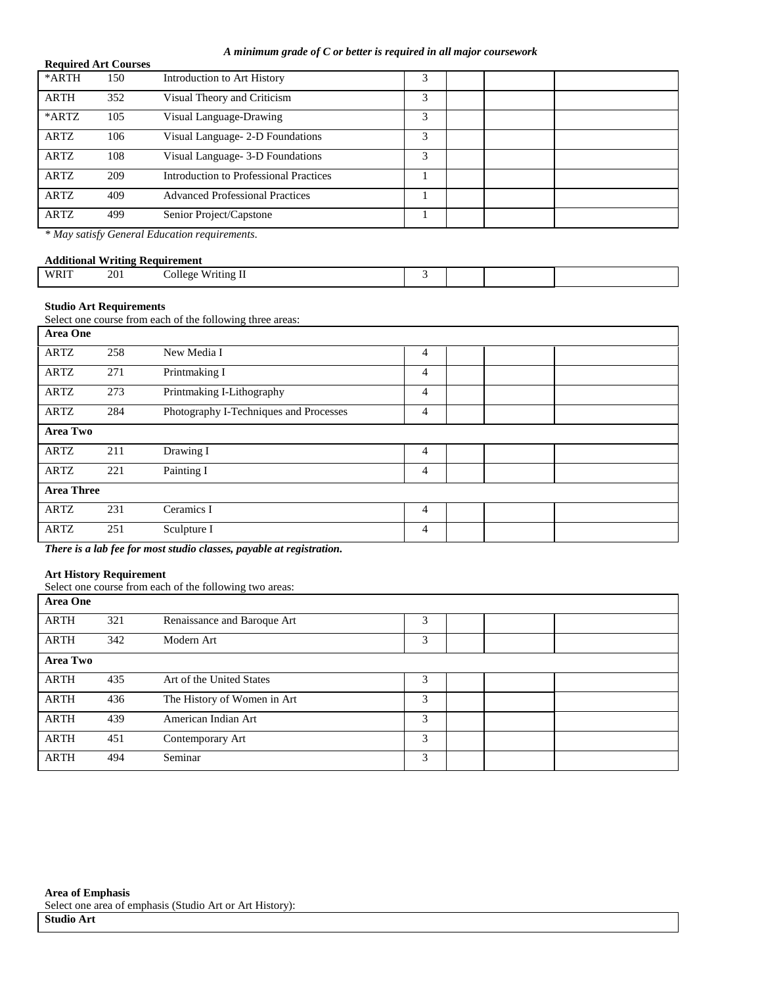#### *A minimum grade of C or better is required in all major coursework*

|             | <b>Required Art Courses</b> |                                               |   |  |  |  |  |  |  |
|-------------|-----------------------------|-----------------------------------------------|---|--|--|--|--|--|--|
| *ARTH       | 150                         | Introduction to Art History                   |   |  |  |  |  |  |  |
| <b>ARTH</b> | 352                         | Visual Theory and Criticism                   | 3 |  |  |  |  |  |  |
| *ARTZ       | 105                         | Visual Language-Drawing                       | 3 |  |  |  |  |  |  |
| <b>ARTZ</b> | 106                         | Visual Language- 2-D Foundations              | 3 |  |  |  |  |  |  |
| <b>ARTZ</b> | 108                         | Visual Language - 3-D Foundations             | 3 |  |  |  |  |  |  |
| <b>ARTZ</b> | 209                         | <b>Introduction to Professional Practices</b> |   |  |  |  |  |  |  |
| <b>ARTZ</b> | 409                         | <b>Advanced Professional Practices</b>        |   |  |  |  |  |  |  |
| ARTZ        | 499                         | Senior Project/Capstone                       |   |  |  |  |  |  |  |

*\* May satisfy General Education requirements*.

## **Additional Writing Requirement**

|  | WRIT | 201 | --<br>ollege.<br>чпо<br>$   -$ |  |  |  |  |
|--|------|-----|--------------------------------|--|--|--|--|
|--|------|-----|--------------------------------|--|--|--|--|

### **Studio Art Requirements**

Select one course from each of the following three areas:

| Area One          |     |                                        |                |  |  |
|-------------------|-----|----------------------------------------|----------------|--|--|
| ARTZ              | 258 | New Media I                            | 4              |  |  |
| ARTZ              | 271 | Printmaking I                          | 4              |  |  |
| <b>ARTZ</b>       | 273 | Printmaking I-Lithography              | $\overline{4}$ |  |  |
| ARTZ              | 284 | Photography I-Techniques and Processes | 4              |  |  |
| Area Two          |     |                                        |                |  |  |
| ARTZ              | 211 | Drawing I                              | 4              |  |  |
| ARTZ              | 221 | Painting I                             | 4              |  |  |
| <b>Area Three</b> |     |                                        |                |  |  |
| ARTZ              | 231 | Ceramics I                             | 4              |  |  |
| <b>ARTZ</b>       | 251 | Sculpture I                            | $\overline{4}$ |  |  |

*There is a lab fee for most studio classes, payable at registration.*

#### **Art History Requirement**

Select one course from each of the following two areas:

| <b>Area One</b> |     |                             |   |  |  |
|-----------------|-----|-----------------------------|---|--|--|
| <b>ARTH</b>     | 321 | Renaissance and Baroque Art | 3 |  |  |
| <b>ARTH</b>     | 342 | Modern Art                  | 3 |  |  |
| Area Two        |     |                             |   |  |  |
| <b>ARTH</b>     | 435 | Art of the United States    | 3 |  |  |
| <b>ARTH</b>     | 436 | The History of Women in Art | 3 |  |  |
| <b>ARTH</b>     | 439 | American Indian Art         | 3 |  |  |
| <b>ARTH</b>     | 451 | Contemporary Art            | 3 |  |  |
| <b>ARTH</b>     | 494 | Seminar                     | 3 |  |  |